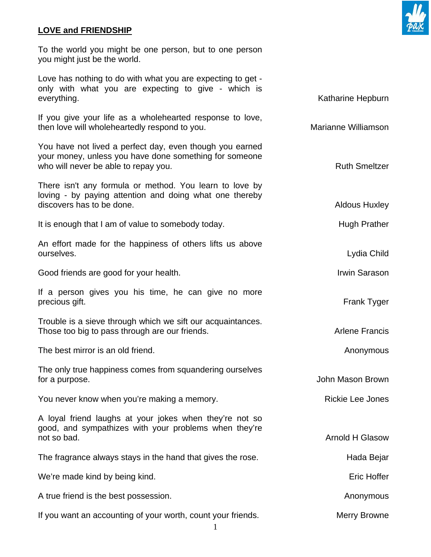## **LOVE and FRIENDSHIP**

To the world you might be one person, but to one person you might just be the world.

Love has nothing to do with what you are expecting to get only with what you are expecting to give - which is everything. The state of the state of the state of the state of the Katharine Hepburn

If you give your life as a wholehearted response to love, then love will wholeheartedly respond to you. The matter of the Marianne Williamson

You have not lived a perfect day, even though you earned your money, unless you have done something for someone who will never be able to repay you. The same state of the state of the Ruth Smeltzer

There isn't any formula or method. You learn to love by loving - by paying attention and doing what one thereby discovers has to be done. The same state of the state of the state of the Aldous Huxley

It is enough that I am of value to somebody today. The end of the Hugh Prather

An effort made for the happiness of others lifts us above ourselves. Lydia Child

Good friends are good for your health. If you can also a limit of the limit Sarason

If a person gives you his time, he can give no more precious gift. The contract of the contract of the contract of the contract of the contract of the contract of the contract of the contract of the contract of the contract of the contract of the contract of the contract of

Trouble is a sieve through which we sift our acquaintances. Those too big to pass through are our friends. Those who have a part of the Francis

The best mirror is an old friend. The best mirror is an old friend.

The only true happiness comes from squandering ourselves for a purpose. The same state of the state of the state of the state of the state of the state of the state of the state of the state of the state of the state of the state of the state of the state of the state of the sta

You never know when you're making a memory. The same series are settled as Rickie Lee Jones

A loyal friend laughs at your jokes when they're not so good, and sympathizes with your problems when they're not so bad. Annual so bad. Arnold H Glasow and so bad. Arnold H Glasow and so bad. Arnold H Glasow

The fragrance always stays in the hand that gives the rose. The fragrance always stays in the hand that gives the rose.

We're made kind by being kind. The state of the state of the state of the state of the Eric Hoffer

A true friend is the best possession. Anonymous control of the state of the state of the Anonymous Anonymous

If you want an accounting of your worth, count your friends. Merry Browne

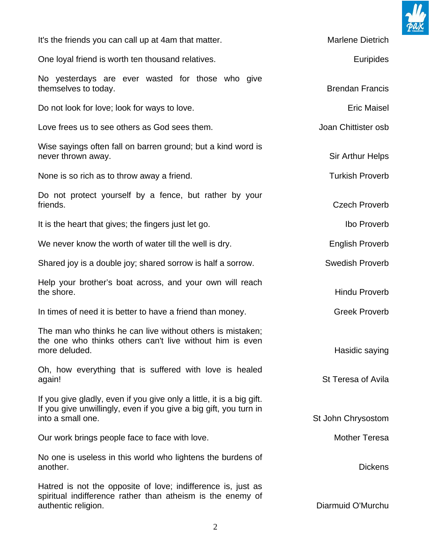

| It's the friends you can call up at 4am that matter.                                                                                                            | Marlene Dietrich       |
|-----------------------------------------------------------------------------------------------------------------------------------------------------------------|------------------------|
| One loyal friend is worth ten thousand relatives.                                                                                                               | <b>Euripides</b>       |
| No yesterdays are ever wasted for those who give<br>themselves to today.                                                                                        | <b>Brendan Francis</b> |
| Do not look for love; look for ways to love.                                                                                                                    | <b>Eric Maisel</b>     |
| Love frees us to see others as God sees them.                                                                                                                   | Joan Chittister osb    |
| Wise sayings often fall on barren ground; but a kind word is<br>never thrown away.                                                                              | Sir Arthur Helps       |
| None is so rich as to throw away a friend.                                                                                                                      | <b>Turkish Proverb</b> |
| Do not protect yourself by a fence, but rather by your<br>friends.                                                                                              | <b>Czech Proverb</b>   |
| It is the heart that gives; the fingers just let go.                                                                                                            | Ibo Proverb            |
| We never know the worth of water till the well is dry.                                                                                                          | <b>English Proverb</b> |
| Shared joy is a double joy; shared sorrow is half a sorrow.                                                                                                     | <b>Swedish Proverb</b> |
| Help your brother's boat across, and your own will reach<br>the shore.                                                                                          | <b>Hindu Proverb</b>   |
| In times of need it is better to have a friend than money.                                                                                                      | <b>Greek Proverb</b>   |
| The man who thinks he can live without others is mistaken;<br>the one who thinks others can't live without him is even<br>more deluded.                         | Hasidic saying         |
| Oh, how everything that is suffered with love is healed<br>again!                                                                                               | St Teresa of Avila     |
| If you give gladly, even if you give only a little, it is a big gift.<br>If you give unwillingly, even if you give a big gift, you turn in<br>into a small one. | St John Chrysostom     |
| Our work brings people face to face with love.                                                                                                                  | Mother Teresa          |
| No one is useless in this world who lightens the burdens of<br>another.                                                                                         | <b>Dickens</b>         |
| Hatred is not the opposite of love; indifference is, just as<br>spiritual indifference rather than atheism is the enemy of<br>authentic religion.               | Diarmuid O'Murchu      |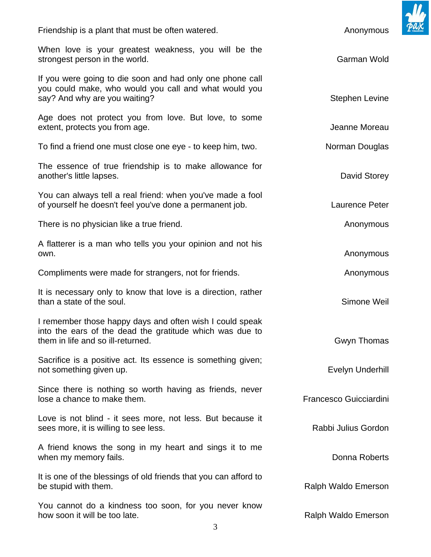| Friendship is a plant that must be often watered.                                                                                                         | Anonymous              |
|-----------------------------------------------------------------------------------------------------------------------------------------------------------|------------------------|
| When love is your greatest weakness, you will be the<br>strongest person in the world.                                                                    | Garman Wold            |
| If you were going to die soon and had only one phone call<br>you could make, who would you call and what would you<br>say? And why are you waiting?       | <b>Stephen Levine</b>  |
| Age does not protect you from love. But love, to some<br>extent, protects you from age.                                                                   | Jeanne Moreau          |
| To find a friend one must close one eye - to keep him, two.                                                                                               | Norman Douglas         |
| The essence of true friendship is to make allowance for<br>another's little lapses.                                                                       | David Storey           |
| You can always tell a real friend: when you've made a fool<br>of yourself he doesn't feel you've done a permanent job.                                    | Laurence Peter         |
| There is no physician like a true friend.                                                                                                                 | Anonymous              |
| A flatterer is a man who tells you your opinion and not his<br>own.                                                                                       | Anonymous              |
| Compliments were made for strangers, not for friends.                                                                                                     | Anonymous              |
| It is necessary only to know that love is a direction, rather<br>than a state of the soul.                                                                | Simone Weil            |
| I remember those happy days and often wish I could speak<br>into the ears of the dead the gratitude which was due to<br>them in life and so ill-returned. | Gwyn Thomas            |
| Sacrifice is a positive act. Its essence is something given;<br>not something given up.                                                                   | Evelyn Underhill       |
| Since there is nothing so worth having as friends, never<br>lose a chance to make them.                                                                   | Francesco Guicciardini |
| Love is not blind - it sees more, not less. But because it<br>sees more, it is willing to see less.                                                       | Rabbi Julius Gordon    |
| A friend knows the song in my heart and sings it to me<br>when my memory fails.                                                                           | Donna Roberts          |
| It is one of the blessings of old friends that you can afford to<br>be stupid with them.                                                                  | Ralph Waldo Emerson    |
| You cannot do a kindness too soon, for you never know<br>how soon it will be too late.                                                                    | Ralph Waldo Emerson    |

 $\mathbf{II}$ 

 $\boldsymbol{\mathcal{P}}$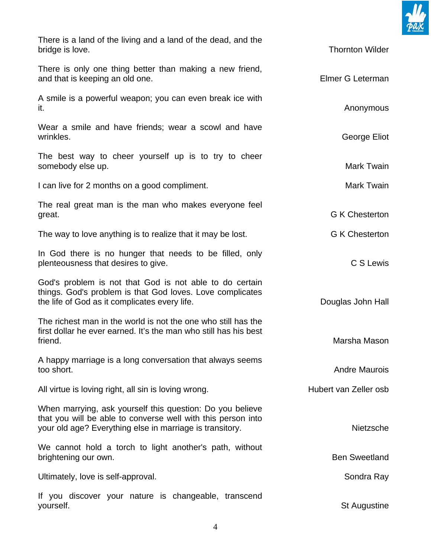

| There is a land of the living and a land of the dead, and the<br>bridge is love.                                                                                                      | <b>Thornton Wilder</b> |
|---------------------------------------------------------------------------------------------------------------------------------------------------------------------------------------|------------------------|
| There is only one thing better than making a new friend,<br>and that is keeping an old one.                                                                                           | Elmer G Leterman       |
| A smile is a powerful weapon; you can even break ice with<br>it.                                                                                                                      | Anonymous              |
| Wear a smile and have friends; wear a scowl and have<br>wrinkles.                                                                                                                     | George Eliot           |
| The best way to cheer yourself up is to try to cheer<br>somebody else up.                                                                                                             | Mark Twain             |
| I can live for 2 months on a good compliment.                                                                                                                                         | Mark Twain             |
| The real great man is the man who makes everyone feel<br>great.                                                                                                                       | <b>G K Chesterton</b>  |
| The way to love anything is to realize that it may be lost.                                                                                                                           | <b>G K Chesterton</b>  |
| In God there is no hunger that needs to be filled, only<br>plenteousness that desires to give.                                                                                        | C S Lewis              |
| God's problem is not that God is not able to do certain<br>things. God's problem is that God loves. Love complicates<br>the life of God as it complicates every life.                 | Douglas John Hall      |
| The richest man in the world is not the one who still has the<br>first dollar he ever earned. It's the man who still has his best<br>friend.                                          | Marsha Mason           |
| A happy marriage is a long conversation that always seems<br>too short.                                                                                                               | <b>Andre Maurois</b>   |
| All virtue is loving right, all sin is loving wrong.                                                                                                                                  | Hubert van Zeller osb  |
| When marrying, ask yourself this question: Do you believe<br>that you will be able to converse well with this person into<br>your old age? Everything else in marriage is transitory. | <b>Nietzsche</b>       |
| We cannot hold a torch to light another's path, without<br>brightening our own.                                                                                                       | <b>Ben Sweetland</b>   |
| Ultimately, love is self-approval.                                                                                                                                                    | Sondra Ray             |
| If you discover your nature is changeable, transcend<br>yourself.                                                                                                                     | <b>St Augustine</b>    |